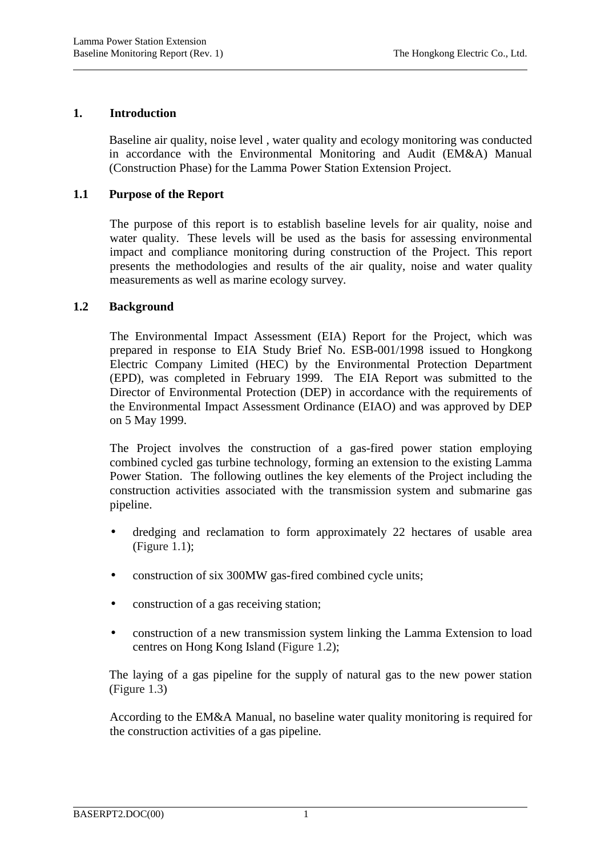## **1. Introduction**

l

Baseline air quality, noise level , water quality and ecology monitoring was conducted in accordance with the Environmental Monitoring and Audit (EM&A) Manual (Construction Phase) for the Lamma Power Station Extension Project.

## **1.1 Purpose of the Report**

The purpose of this report is to establish baseline levels for air quality, noise and water quality. These levels will be used as the basis for assessing environmental impact and compliance monitoring during construction of the Project. This report presents the methodologies and results of the air quality, noise and water quality measurements as well as marine ecology survey.

## **1.2 Background**

The Environmental Impact Assessment (EIA) Report for the Project, which was prepared in response to EIA Study Brief No. ESB-001/1998 issued to Hongkong Electric Company Limited (HEC) by the Environmental Protection Department (EPD), was completed in February 1999. The EIA Report was submitted to the Director of Environmental Protection (DEP) in accordance with the requirements of the Environmental Impact Assessment Ordinance (EIAO) and was approved by DEP on 5 May 1999.

The Project involves the construction of a gas-fired power station employing combined cycled gas turbine technology, forming an extension to the existing Lamma Power Station. The following outlines the key elements of the Project including the construction activities associated with the transmission system and submarine gas pipeline.

- dredging and reclamation to form approximately 22 hectares of usable area (Figure 1.1);
- construction of six 300MW gas-fired combined cycle units;
- construction of a gas receiving station;
- construction of a new transmission system linking the Lamma Extension to load centres on Hong Kong Island (Figure 1.2);

The laying of a gas pipeline for the supply of natural gas to the new power station (Figure 1.3)

According to the EM&A Manual, no baseline water quality monitoring is required for the construction activities of a gas pipeline.

l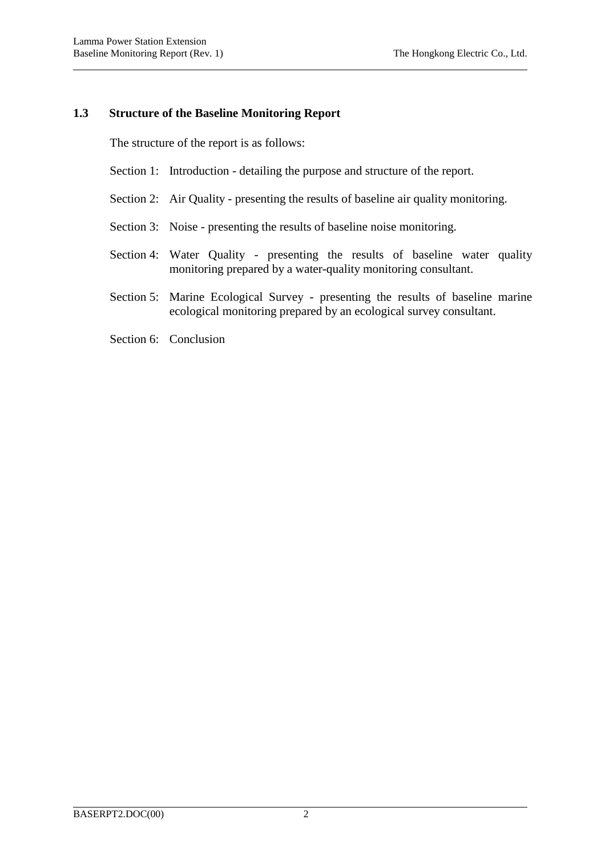l

## **1.3 Structure of the Baseline Monitoring Report**

The structure of the report is as follows:

- Section 1: Introduction detailing the purpose and structure of the report.
- Section 2: Air Quality presenting the results of baseline air quality monitoring.
- Section 3: Noise presenting the results of baseline noise monitoring.
- Section 4: Water Quality presenting the results of baseline water quality monitoring prepared by a water-quality monitoring consultant.
- Section 5: Marine Ecological Survey presenting the results of baseline marine ecological monitoring prepared by an ecological survey consultant.
- Section 6: Conclusion

l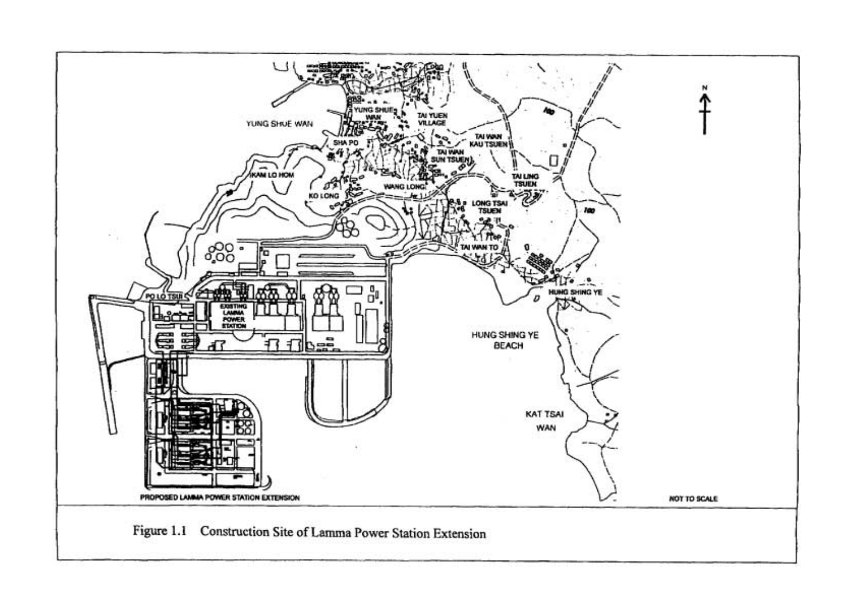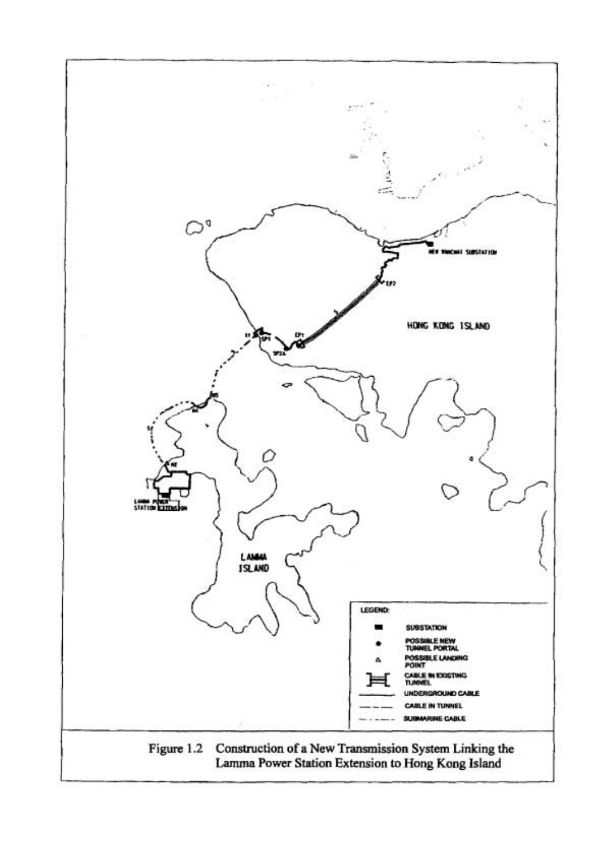